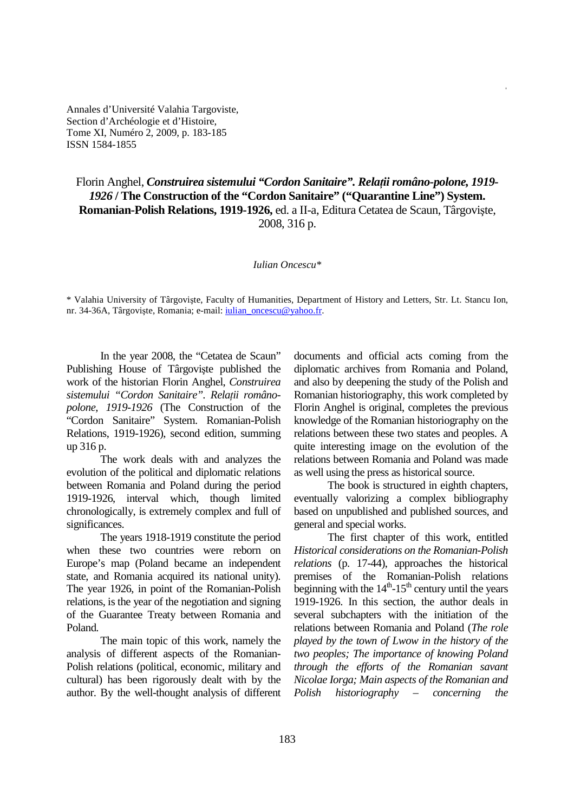Annales d'Université Valahia Targoviste, Section d'Archéologie et d'Histoire, Tome XI, Numéro 2, 2009, p. 183-185 ISSN 1584-1855

Florin Anghel, *Construirea sistemului "Cordon Sanitaire". Relații româno-polone, 1919-1926* **/ The Construction of the "Cordon Sanitaire" ("Quarantine Line") System. Romanian-Polish Relations, 1919-1926,** ed. a II-a, Editura Cetatea de Scaun, Târgovişte, 2008, 316 p.

## *Iulian Oncescu\**

\* Valahia University of Târgovişte, Faculty of Humanities, Department of History and Letters, Str. Lt. Stancu Ion, nr. 34-36A, Târgoviște, Romania; e-mail: *iulian\_oncescu@yahoo.fr.* 

In the year 2008, the "Cetatea de Scaun" Publishing House of Târgovişte published the work of the historian Florin Anghel, *Construirea*   $s$ *istemului* "Cordon Sanitaire". Relații româno*polone, 1919-1926* (The Construction of the "Cordon Sanitaire" System. Romanian-Polish Relations, 1919-1926), second edition, summing up 316 p.

 The work deals with and analyzes the evolution of the political and diplomatic relations between Romania and Poland during the period 1919-1926, interval which, though limited chronologically, is extremely complex and full of significances.

 The years 1918-1919 constitute the period when these two countries were reborn on Europe's map (Poland became an independent state, and Romania acquired its national unity). The year 1926, in point of the Romanian-Polish relations, is the year of the negotiation and signing of the Guarantee Treaty between Romania and Poland.

 The main topic of this work, namely the analysis of different aspects of the Romanian-Polish relations (political, economic, military and cultural) has been rigorously dealt with by the author. By the well-thought analysis of different

documents and official acts coming from the diplomatic archives from Romania and Poland, and also by deepening the study of the Polish and Romanian historiography, this work completed by Florin Anghel is original, completes the previous knowledge of the Romanian historiography on the relations between these two states and peoples. A quite interesting image on the evolution of the relations between Romania and Poland was made as well using the press as historical source.

 The book is structured in eighth chapters, eventually valorizing a complex bibliography based on unpublished and published sources, and general and special works.

 The first chapter of this work, entitled *Historical considerations on the Romanian-Polish relations* (p. 17-44), approaches the historical premises of the Romanian-Polish relations beginning with the  $14<sup>th</sup>$ -15<sup>th</sup> century until the years 1919-1926. In this section, the author deals in several subchapters with the initiation of the relations between Romania and Poland (*The role played by the town of Lwow in the history of the two peoples; The importance of knowing Poland through the efforts of the Romanian savant Nicolae Iorga; Main aspects of the Romanian and Polish historiography – concerning the*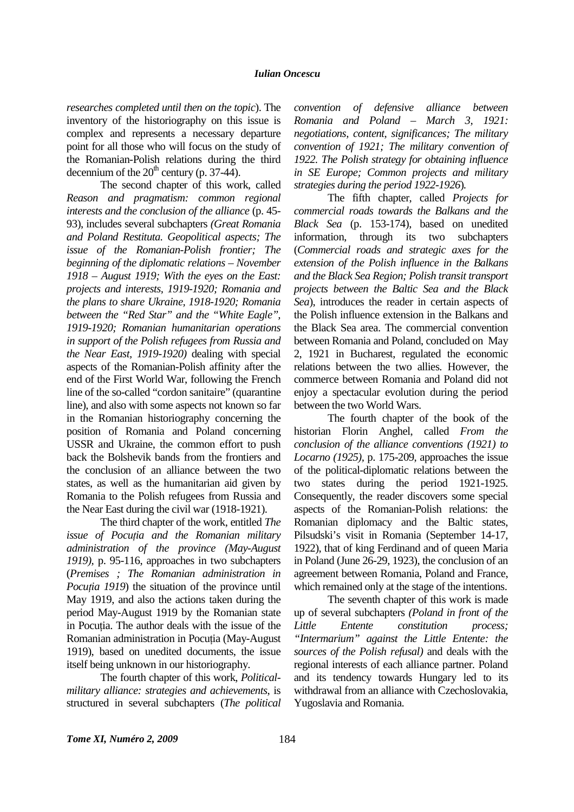*researches completed until then on the topic*). The inventory of the historiography on this issue is complex and represents a necessary departure point for all those who will focus on the study of the Romanian-Polish relations during the third decennium of the  $20<sup>th</sup>$  century (p. 37-44).

 The second chapter of this work, called *Reason and pragmatism: common regional interests and the conclusion of the alliance* (p. 45- 93), includes several subchapters *(Great Romania and Poland Restituta. Geopolitical aspects; The issue of the Romanian-Polish frontier; The beginning of the diplomatic relations – November 1918 – August 1919; With the eyes on the East: projects and interests, 1919-1920; Romania and the plans to share Ukraine, 1918-1920; Romania between the "Red Star" and the "White Eagle", 1919-1920; Romanian humanitarian operations in support of the Polish refugees from Russia and the Near East, 1919-1920)* dealing with special aspects of the Romanian-Polish affinity after the end of the First World War, following the French line of the so-called "cordon sanitaire" (quarantine line), and also with some aspects not known so far in the Romanian historiography concerning the position of Romania and Poland concerning USSR and Ukraine, the common effort to push back the Bolshevik bands from the frontiers and the conclusion of an alliance between the two states, as well as the humanitarian aid given by Romania to the Polish refugees from Russia and the Near East during the civil war (1918-1921).

 The third chapter of the work, entitled *The issue of Pocutia and the Romanian military administration of the province (May-August 1919),* p. 95-116, approaches in two subchapters (*Premises ; The Romanian administration in Pocutia 1919*) the situation of the province until May 1919, and also the actions taken during the period May-August 1919 by the Romanian state in Pocutia. The author deals with the issue of the Romanian administration in Pocutia (May-August 1919), based on unedited documents, the issue itself being unknown in our historiography.

 The fourth chapter of this work, *Politicalmilitary alliance: strategies and achievements*, is structured in several subchapters (*The political*  *convention of defensive alliance between Romania and Poland – March 3, 1921: negotiations, content, significances; The military convention of 1921; The military convention of 1922. The Polish strategy for obtaining influence in SE Europe; Common projects and military strategies during the period 1922-1926*)*.* 

The fifth chapter, called *Projects for commercial roads towards the Balkans and the Black Sea* (p. 153-174), based on unedited information, through its two subchapters (*Commercial roads and strategic axes for the extension of the Polish influence in the Balkans and the Black Sea Region; Polish transit transport projects between the Baltic Sea and the Black Sea*), introduces the reader in certain aspects of the Polish influence extension in the Balkans and the Black Sea area. The commercial convention between Romania and Poland, concluded on May 2, 1921 in Bucharest, regulated the economic relations between the two allies. However, the commerce between Romania and Poland did not enjoy a spectacular evolution during the period between the two World Wars.

 The fourth chapter of the book of the historian Florin Anghel, called *From the conclusion of the alliance conventions (1921) to Locarno (1925),* p. 175-209, approaches the issue of the political-diplomatic relations between the two states during the period 1921-1925. Consequently, the reader discovers some special aspects of the Romanian-Polish relations: the Romanian diplomacy and the Baltic states, Pilsudski's visit in Romania (September 14-17, 1922), that of king Ferdinand and of queen Maria in Poland (June 26-29, 1923), the conclusion of an agreement between Romania, Poland and France, which remained only at the stage of the intentions.

 The seventh chapter of this work is made up of several subchapters *(Poland in front of the Little Entente constitution process; "Intermarium" against the Little Entente: the sources of the Polish refusal)* and deals with the regional interests of each alliance partner. Poland and its tendency towards Hungary led to its withdrawal from an alliance with Czechoslovakia, Yugoslavia and Romania.

**Tome XI, Numéro 2, 2009** 184